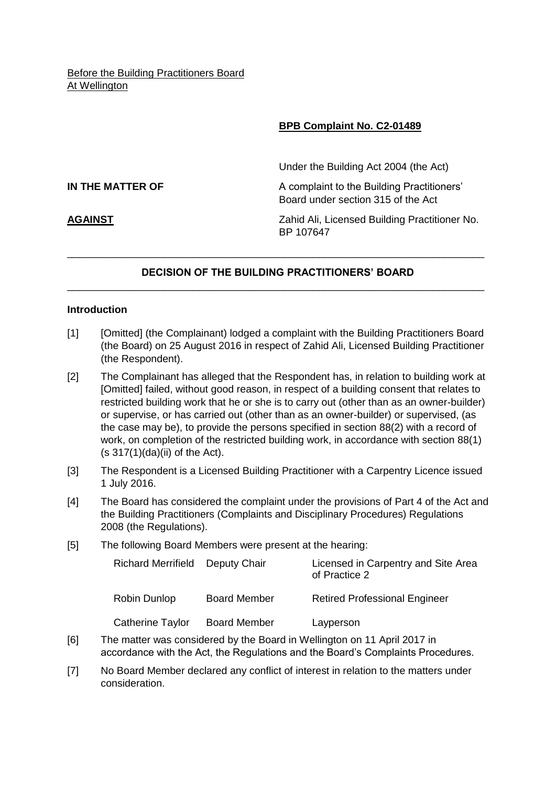# **BPB Complaint No. C2-01489**

**IN THE MATTER OF** A complaint to the Building Practitioners' Board under section 315 of the Act

Under the Building Act 2004 (the Act)

**AGAINST** Zahid Ali, Licensed Building Practitioner No. BP 107647

# **DECISION OF THE BUILDING PRACTITIONERS' BOARD** \_\_\_\_\_\_\_\_\_\_\_\_\_\_\_\_\_\_\_\_\_\_\_\_\_\_\_\_\_\_\_\_\_\_\_\_\_\_\_\_\_\_\_\_\_\_\_\_\_\_\_\_\_\_\_\_\_\_\_\_\_\_\_\_\_\_\_\_\_\_\_\_\_

\_\_\_\_\_\_\_\_\_\_\_\_\_\_\_\_\_\_\_\_\_\_\_\_\_\_\_\_\_\_\_\_\_\_\_\_\_\_\_\_\_\_\_\_\_\_\_\_\_\_\_\_\_\_\_\_\_\_\_\_\_\_\_\_\_\_\_\_\_\_\_\_\_

## **Introduction**

- [1] [Omitted] (the Complainant) lodged a complaint with the Building Practitioners Board (the Board) on 25 August 2016 in respect of Zahid Ali, Licensed Building Practitioner (the Respondent).
- [2] The Complainant has alleged that the Respondent has, in relation to building work at [Omitted] failed, without good reason, in respect of a building consent that relates to restricted building work that he or she is to carry out (other than as an owner-builder) or supervise, or has carried out (other than as an owner-builder) or supervised, (as the case may be), to provide the persons specified in section 88(2) with a record of work, on completion of the restricted building work, in accordance with section 88(1)  $(s 317(1)(da)(ii)$  of the Act).
- [3] The Respondent is a Licensed Building Practitioner with a Carpentry Licence issued 1 July 2016.
- [4] The Board has considered the complaint under the provisions of Part 4 of the Act and the Building Practitioners (Complaints and Disciplinary Procedures) Regulations 2008 (the Regulations).
- [5] The following Board Members were present at the hearing:

| <b>Richard Merrifield</b> | Deputy Chair        | Licensed in Carpentry and Site Area<br>of Practice 2 |
|---------------------------|---------------------|------------------------------------------------------|
| <b>Robin Dunlop</b>       | <b>Board Member</b> | <b>Retired Professional Engineer</b>                 |
| Catherine Taylor          | <b>Board Member</b> | Layperson                                            |

- [6] The matter was considered by the Board in Wellington on 11 April 2017 in accordance with the Act, the Regulations and the Board's Complaints Procedures.
- [7] No Board Member declared any conflict of interest in relation to the matters under consideration.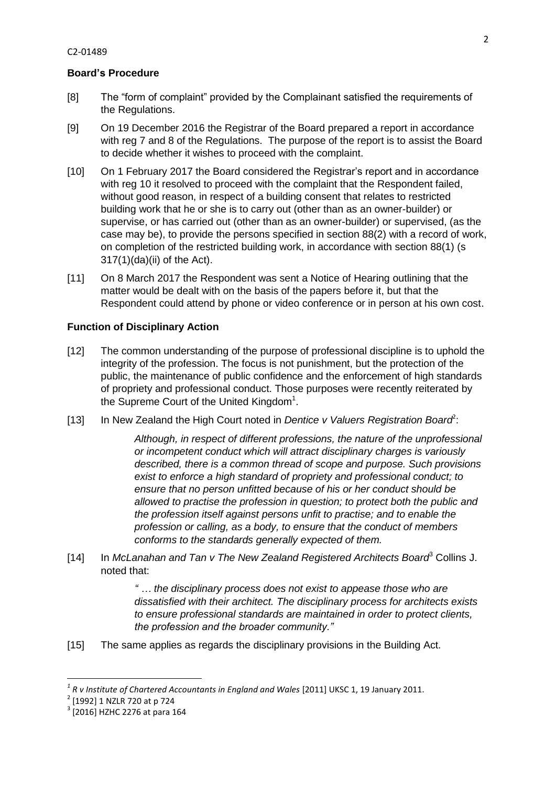# **Board's Procedure**

- [8] The "form of complaint" provided by the Complainant satisfied the requirements of the Regulations.
- [9] On 19 December 2016 the Registrar of the Board prepared a report in accordance with reg 7 and 8 of the Regulations. The purpose of the report is to assist the Board to decide whether it wishes to proceed with the complaint.
- [10] On 1 February 2017 the Board considered the Registrar's report and in accordance with reg 10 it resolved to proceed with the complaint that the Respondent failed. without good reason, in respect of a building consent that relates to restricted building work that he or she is to carry out (other than as an owner-builder) or supervise, or has carried out (other than as an owner-builder) or supervised, (as the case may be), to provide the persons specified in section 88(2) with a record of work, on completion of the restricted building work, in accordance with section 88(1) (s 317(1)(da)(ii) of the Act).
- [11] On 8 March 2017 the Respondent was sent a Notice of Hearing outlining that the matter would be dealt with on the basis of the papers before it, but that the Respondent could attend by phone or video conference or in person at his own cost.

# **Function of Disciplinary Action**

- [12] The common understanding of the purpose of professional discipline is to uphold the integrity of the profession. The focus is not punishment, but the protection of the public, the maintenance of public confidence and the enforcement of high standards of propriety and professional conduct. Those purposes were recently reiterated by the Supreme Court of the United Kingdom $<sup>1</sup>$ .</sup>
- [13] In New Zealand the High Court noted in *Dentice v Valuers Registration Board*<sup>2</sup>:

*Although, in respect of different professions, the nature of the unprofessional or incompetent conduct which will attract disciplinary charges is variously described, there is a common thread of scope and purpose. Such provisions exist to enforce a high standard of propriety and professional conduct; to ensure that no person unfitted because of his or her conduct should be allowed to practise the profession in question; to protect both the public and the profession itself against persons unfit to practise; and to enable the profession or calling, as a body, to ensure that the conduct of members conforms to the standards generally expected of them.*

[14] In *McLanahan and Tan v The New Zealand Registered Architects Board*<sup>3</sup> Collins J. noted that:

> *" … the disciplinary process does not exist to appease those who are dissatisfied with their architect. The disciplinary process for architects exists to ensure professional standards are maintained in order to protect clients, the profession and the broader community."*

[15] The same applies as regards the disciplinary provisions in the Building Act.

**.** 

*<sup>1</sup> R v Institute of Chartered Accountants in England and Wales* [2011] UKSC 1, 19 January 2011.

<sup>2</sup> [1992] 1 NZLR 720 at p 724

 $3$  [2016] HZHC 2276 at para 164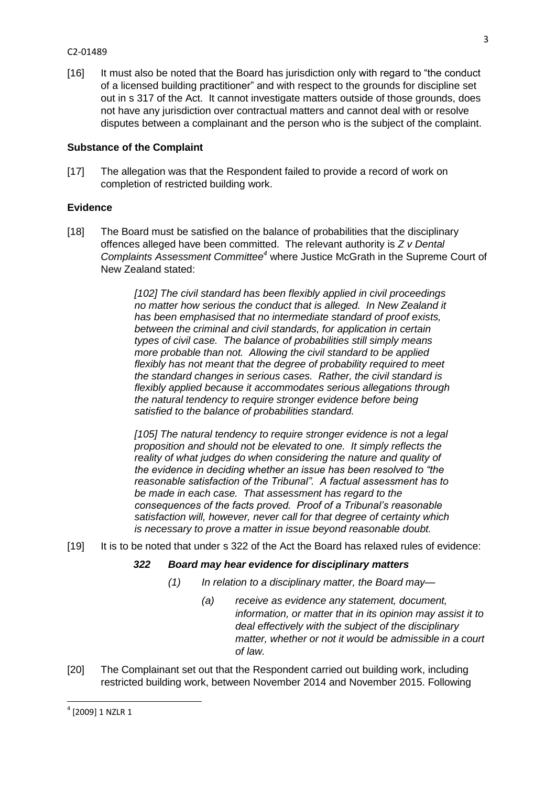#### C2-01489

[16] It must also be noted that the Board has jurisdiction only with regard to "the conduct of a licensed building practitioner" and with respect to the grounds for discipline set out in s 317 of the Act. It cannot investigate matters outside of those grounds, does not have any jurisdiction over contractual matters and cannot deal with or resolve disputes between a complainant and the person who is the subject of the complaint.

## **Substance of the Complaint**

[17] The allegation was that the Respondent failed to provide a record of work on completion of restricted building work.

# **Evidence**

[18] The Board must be satisfied on the balance of probabilities that the disciplinary offences alleged have been committed. The relevant authority is *Z v Dental Complaints Assessment Committee<sup>4</sup>* where Justice McGrath in the Supreme Court of New Zealand stated:

> *[102] The civil standard has been flexibly applied in civil proceedings no matter how serious the conduct that is alleged. In New Zealand it has been emphasised that no intermediate standard of proof exists, between the criminal and civil standards, for application in certain types of civil case. The balance of probabilities still simply means more probable than not. Allowing the civil standard to be applied flexibly has not meant that the degree of probability required to meet the standard changes in serious cases. Rather, the civil standard is flexibly applied because it accommodates serious allegations through the natural tendency to require stronger evidence before being satisfied to the balance of probabilities standard.*

> *[105] The natural tendency to require stronger evidence is not a legal proposition and should not be elevated to one. It simply reflects the reality of what judges do when considering the nature and quality of the evidence in deciding whether an issue has been resolved to "the reasonable satisfaction of the Tribunal". A factual assessment has to be made in each case. That assessment has regard to the consequences of the facts proved. Proof of a Tribunal's reasonable satisfaction will, however, never call for that degree of certainty which is necessary to prove a matter in issue beyond reasonable doubt.*

[19] It is to be noted that under s 322 of the Act the Board has relaxed rules of evidence:

### *322 Board may hear evidence for disciplinary matters*

- *(1) In relation to a disciplinary matter, the Board may—*
	- *(a) receive as evidence any statement, document, information, or matter that in its opinion may assist it to deal effectively with the subject of the disciplinary matter, whether or not it would be admissible in a court of law.*
- [20] The Complainant set out that the Respondent carried out building work, including restricted building work, between November 2014 and November 2015. Following

**.** 

 $^4$  [2009] 1 NZLR 1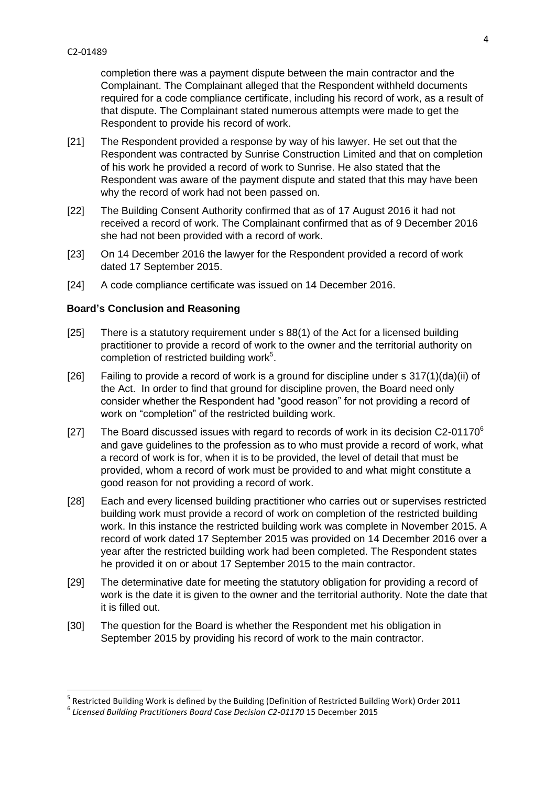**.** 

completion there was a payment dispute between the main contractor and the Complainant. The Complainant alleged that the Respondent withheld documents required for a code compliance certificate, including his record of work, as a result of that dispute. The Complainant stated numerous attempts were made to get the Respondent to provide his record of work.

- [21] The Respondent provided a response by way of his lawyer. He set out that the Respondent was contracted by Sunrise Construction Limited and that on completion of his work he provided a record of work to Sunrise. He also stated that the Respondent was aware of the payment dispute and stated that this may have been why the record of work had not been passed on.
- [22] The Building Consent Authority confirmed that as of 17 August 2016 it had not received a record of work. The Complainant confirmed that as of 9 December 2016 she had not been provided with a record of work.
- [23] On 14 December 2016 the lawyer for the Respondent provided a record of work dated 17 September 2015.
- [24] A code compliance certificate was issued on 14 December 2016.

# **Board's Conclusion and Reasoning**

- [25] There is a statutory requirement under s 88(1) of the Act for a licensed building practitioner to provide a record of work to the owner and the territorial authority on completion of restricted building work<sup>5</sup>.
- [26] Failing to provide a record of work is a ground for discipline under s 317(1)(da)(ii) of the Act. In order to find that ground for discipline proven, the Board need only consider whether the Respondent had "good reason" for not providing a record of work on "completion" of the restricted building work.
- [27] The Board discussed issues with regard to records of work in its decision C2-01170 $\textdegree$ and gave guidelines to the profession as to who must provide a record of work, what a record of work is for, when it is to be provided, the level of detail that must be provided, whom a record of work must be provided to and what might constitute a good reason for not providing a record of work.
- [28] Each and every licensed building practitioner who carries out or supervises restricted building work must provide a record of work on completion of the restricted building work. In this instance the restricted building work was complete in November 2015. A record of work dated 17 September 2015 was provided on 14 December 2016 over a year after the restricted building work had been completed. The Respondent states he provided it on or about 17 September 2015 to the main contractor.
- [29] The determinative date for meeting the statutory obligation for providing a record of work is the date it is given to the owner and the territorial authority. Note the date that it is filled out.
- [30] The question for the Board is whether the Respondent met his obligation in September 2015 by providing his record of work to the main contractor.

<sup>&</sup>lt;sup>5</sup> Restricted Building Work is defined by the Building (Definition of Restricted Building Work) Order 2011

<sup>&</sup>lt;sup>6</sup> Licensed Building Practitioners Board Case Decision C2-01170 15 December 2015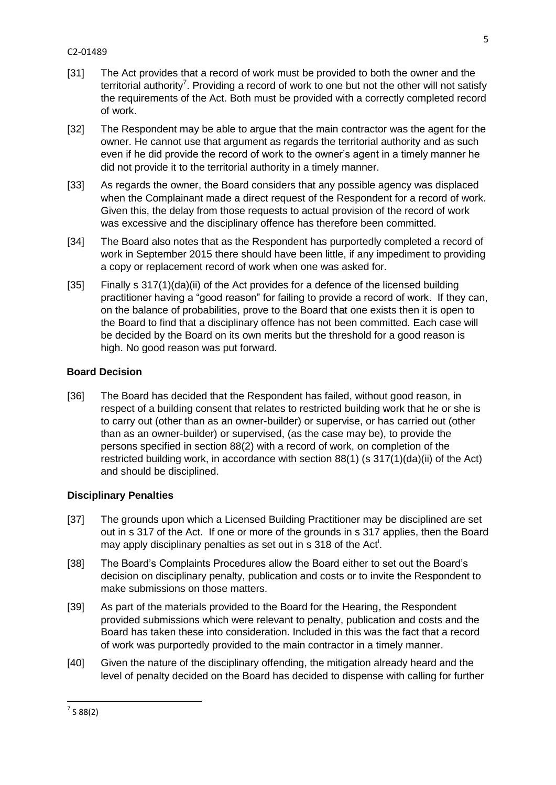- [31] The Act provides that a record of work must be provided to both the owner and the territorial authority<sup>7</sup>. Providing a record of work to one but not the other will not satisfy the requirements of the Act. Both must be provided with a correctly completed record of work.
- [32] The Respondent may be able to argue that the main contractor was the agent for the owner. He cannot use that argument as regards the territorial authority and as such even if he did provide the record of work to the owner's agent in a timely manner he did not provide it to the territorial authority in a timely manner.
- [33] As regards the owner, the Board considers that any possible agency was displaced when the Complainant made a direct request of the Respondent for a record of work. Given this, the delay from those requests to actual provision of the record of work was excessive and the disciplinary offence has therefore been committed.
- [34] The Board also notes that as the Respondent has purportedly completed a record of work in September 2015 there should have been little, if any impediment to providing a copy or replacement record of work when one was asked for.
- [35] Finally s 317(1)(da)(ii) of the Act provides for a defence of the licensed building practitioner having a "good reason" for failing to provide a record of work. If they can, on the balance of probabilities, prove to the Board that one exists then it is open to the Board to find that a disciplinary offence has not been committed. Each case will be decided by the Board on its own merits but the threshold for a good reason is high. No good reason was put forward.

# **Board Decision**

[36] The Board has decided that the Respondent has failed, without good reason, in respect of a building consent that relates to restricted building work that he or she is to carry out (other than as an owner-builder) or supervise, or has carried out (other than as an owner-builder) or supervised, (as the case may be), to provide the persons specified in section 88(2) with a record of work, on completion of the restricted building work, in accordance with section 88(1) (s 317(1)(da)(ii) of the Act) and should be disciplined.

# **Disciplinary Penalties**

- [37] The grounds upon which a Licensed Building Practitioner may be disciplined are set out in s 317 of the Act. If one or more of the grounds in s 317 applies, then the Board may apply disciplinary penalties as set out in s 318 of the Act<sup>i</sup>.
- [38] The Board's Complaints Procedures allow the Board either to set out the Board's decision on disciplinary penalty, publication and costs or to invite the Respondent to make submissions on those matters.
- [39] As part of the materials provided to the Board for the Hearing, the Respondent provided submissions which were relevant to penalty, publication and costs and the Board has taken these into consideration. Included in this was the fact that a record of work was purportedly provided to the main contractor in a timely manner.
- [40] Given the nature of the disciplinary offending, the mitigation already heard and the level of penalty decided on the Board has decided to dispense with calling for further

**<sup>.</sup>**  $^7$  S 88(2)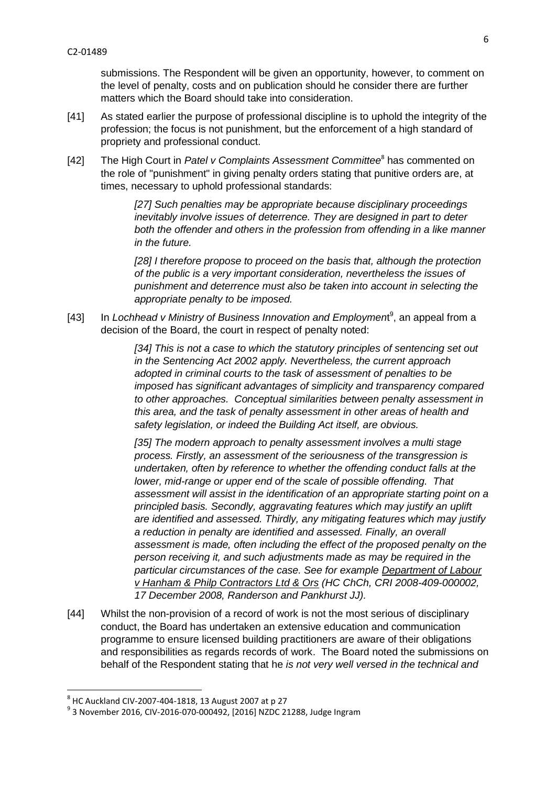submissions. The Respondent will be given an opportunity, however, to comment on the level of penalty, costs and on publication should he consider there are further matters which the Board should take into consideration.

- [41] As stated earlier the purpose of professional discipline is to uphold the integrity of the profession; the focus is not punishment, but the enforcement of a high standard of propriety and professional conduct.
- [42] The High Court in Patel v Complaints Assessment Committee<sup>8</sup> has commented on the role of "punishment" in giving penalty orders stating that punitive orders are, at times, necessary to uphold professional standards:

*[27] Such penalties may be appropriate because disciplinary proceedings inevitably involve issues of deterrence. They are designed in part to deter both the offender and others in the profession from offending in a like manner in the future.*

*[28] I therefore propose to proceed on the basis that, although the protection of the public is a very important consideration, nevertheless the issues of punishment and deterrence must also be taken into account in selecting the appropriate penalty to be imposed.* 

[43] In Lochhead v Ministry of Business Innovation and Employment<sup>9</sup>, an appeal from a decision of the Board, the court in respect of penalty noted:

> *[34] This is not a case to which the statutory principles of sentencing set out in the Sentencing Act 2002 apply. Nevertheless, the current approach adopted in criminal courts to the task of assessment of penalties to be imposed has significant advantages of simplicity and transparency compared to other approaches. Conceptual similarities between penalty assessment in this area, and the task of penalty assessment in other areas of health and safety legislation, or indeed the Building Act itself, are obvious.*

*[35] The modern approach to penalty assessment involves a multi stage process. Firstly, an assessment of the seriousness of the transgression is undertaken, often by reference to whether the offending conduct falls at the lower, mid-range or upper end of the scale of possible offending. That assessment will assist in the identification of an appropriate starting point on a principled basis. Secondly, aggravating features which may justify an uplift are identified and assessed. Thirdly, any mitigating features which may justify a reduction in penalty are identified and assessed. Finally, an overall assessment is made, often including the effect of the proposed penalty on the person receiving it, and such adjustments made as may be required in the particular circumstances of the case. See for example Department of Labour v Hanham & Philp Contractors Ltd & Ors (HC ChCh, CRI 2008-409-000002, 17 December 2008, Randerson and Pankhurst JJ).*

[44] Whilst the non-provision of a record of work is not the most serious of disciplinary conduct, the Board has undertaken an extensive education and communication programme to ensure licensed building practitioners are aware of their obligations and responsibilities as regards records of work. The Board noted the submissions on behalf of the Respondent stating that he *is not very well versed in the technical and* 

 8 HC Auckland CIV-2007-404-1818, 13 August 2007 at p 27

<sup>9</sup> 3 November 2016, CIV-2016-070-000492, [2016] NZDC 21288, Judge Ingram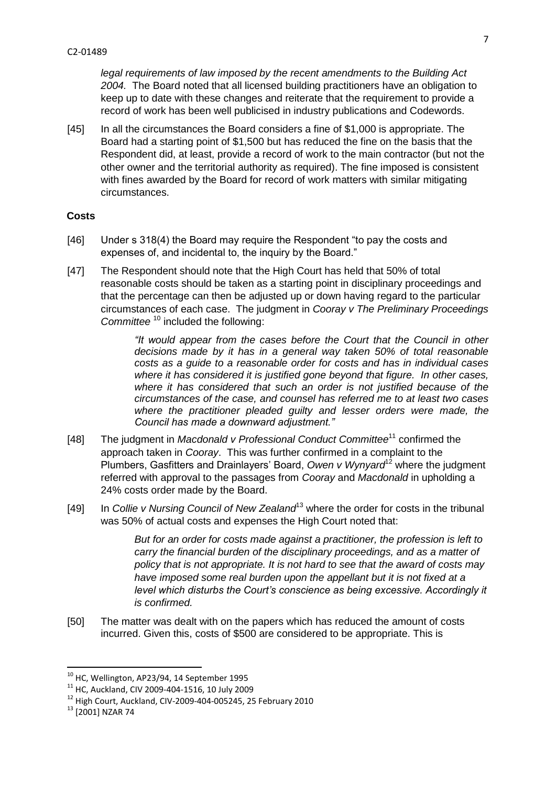*legal requirements of law imposed by the recent amendments to the Building Act 2004.* The Board noted that all licensed building practitioners have an obligation to keep up to date with these changes and reiterate that the requirement to provide a record of work has been well publicised in industry publications and Codewords.

[45] In all the circumstances the Board considers a fine of \$1,000 is appropriate. The Board had a starting point of \$1,500 but has reduced the fine on the basis that the Respondent did, at least, provide a record of work to the main contractor (but not the other owner and the territorial authority as required). The fine imposed is consistent with fines awarded by the Board for record of work matters with similar mitigating circumstances.

## **Costs**

- [46] Under s 318(4) the Board may require the Respondent "to pay the costs and expenses of, and incidental to, the inquiry by the Board."
- [47] The Respondent should note that the High Court has held that 50% of total reasonable costs should be taken as a starting point in disciplinary proceedings and that the percentage can then be adjusted up or down having regard to the particular circumstances of each case. The judgment in *Cooray v The Preliminary Proceedings Committee* <sup>10</sup> included the following:

*"It would appear from the cases before the Court that the Council in other decisions made by it has in a general way taken 50% of total reasonable costs as a guide to a reasonable order for costs and has in individual cases where it has considered it is justified gone beyond that figure. In other cases, where it has considered that such an order is not justified because of the circumstances of the case, and counsel has referred me to at least two cases where the practitioner pleaded guilty and lesser orders were made, the Council has made a downward adjustment."*

- [48] The judgment in *Macdonald v Professional Conduct Committee*<sup>11</sup> confirmed the approach taken in *Cooray*. This was further confirmed in a complaint to the Plumbers, Gasfitters and Drainlayers' Board, *Owen v Wynyard*<sup>12</sup> where the judgment referred with approval to the passages from *Cooray* and *Macdonald* in upholding a 24% costs order made by the Board.
- [49] In *Collie v Nursing Council of New Zealand*<sup>13</sup> where the order for costs in the tribunal was 50% of actual costs and expenses the High Court noted that:

*But for an order for costs made against a practitioner, the profession is left to carry the financial burden of the disciplinary proceedings, and as a matter of policy that is not appropriate. It is not hard to see that the award of costs may have imposed some real burden upon the appellant but it is not fixed at a level which disturbs the Court's conscience as being excessive. Accordingly it is confirmed.*

[50] The matter was dealt with on the papers which has reduced the amount of costs incurred. Given this, costs of \$500 are considered to be appropriate. This is

**.** 

 $^{10}$  HC, Wellington, AP23/94, 14 September 1995

<sup>11</sup> HC, Auckland, CIV 2009-404-1516, 10 July 2009

<sup>12</sup> High Court, Auckland, CIV-2009-404-005245, 25 February 2010

<sup>&</sup>lt;sup>13</sup> [2001] NZAR 74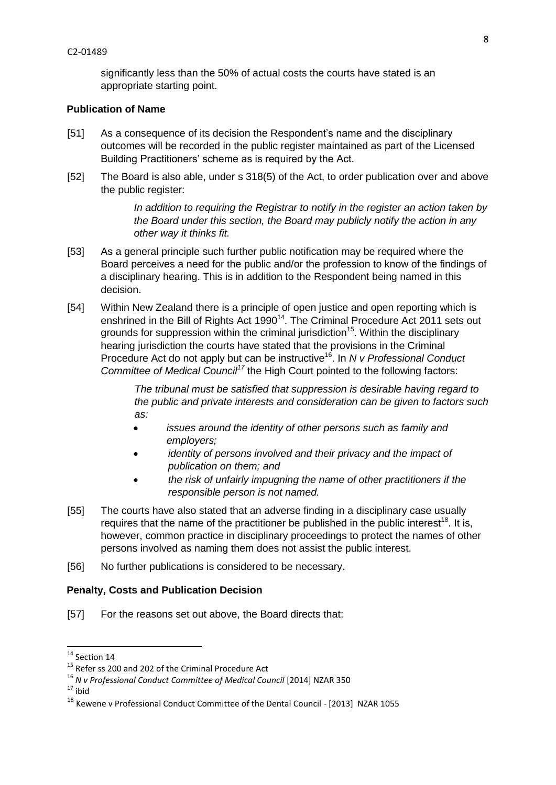significantly less than the 50% of actual costs the courts have stated is an appropriate starting point.

# **Publication of Name**

- [51] As a consequence of its decision the Respondent's name and the disciplinary outcomes will be recorded in the public register maintained as part of the Licensed Building Practitioners' scheme as is required by the Act.
- [52] The Board is also able, under s 318(5) of the Act, to order publication over and above the public register:

*In addition to requiring the Registrar to notify in the register an action taken by the Board under this section, the Board may publicly notify the action in any other way it thinks fit.*

- [53] As a general principle such further public notification may be required where the Board perceives a need for the public and/or the profession to know of the findings of a disciplinary hearing. This is in addition to the Respondent being named in this decision.
- [54] Within New Zealand there is a principle of open justice and open reporting which is enshrined in the Bill of Rights Act  $1990<sup>14</sup>$ . The Criminal Procedure Act 2011 sets out grounds for suppression within the criminal jurisdiction<sup>15</sup>. Within the disciplinary hearing jurisdiction the courts have stated that the provisions in the Criminal Procedure Act do not apply but can be instructive<sup>16</sup>. In *N v Professional Conduct Committee of Medical Council<sup>17</sup>* the High Court pointed to the following factors:

*The tribunal must be satisfied that suppression is desirable having regard to the public and private interests and consideration can be given to factors such as:*

- *issues around the identity of other persons such as family and employers;*
- *identity of persons involved and their privacy and the impact of publication on them; and*
- *the risk of unfairly impugning the name of other practitioners if the responsible person is not named.*
- [55] The courts have also stated that an adverse finding in a disciplinary case usually requires that the name of the practitioner be published in the public interest<sup>18</sup>. It is, however, common practice in disciplinary proceedings to protect the names of other persons involved as naming them does not assist the public interest.
- [56] No further publications is considered to be necessary.

# **Penalty, Costs and Publication Decision**

[57] For the reasons set out above, the Board directs that:

1

 $14$  Section 14

<sup>&</sup>lt;sup>15</sup> Refer ss 200 and 202 of the Criminal Procedure Act

<sup>16</sup> *N v Professional Conduct Committee of Medical Council* [2014] NZAR 350

 $17$  ibid

<sup>&</sup>lt;sup>18</sup> Kewene v Professional Conduct Committee of the Dental Council - [2013] NZAR 1055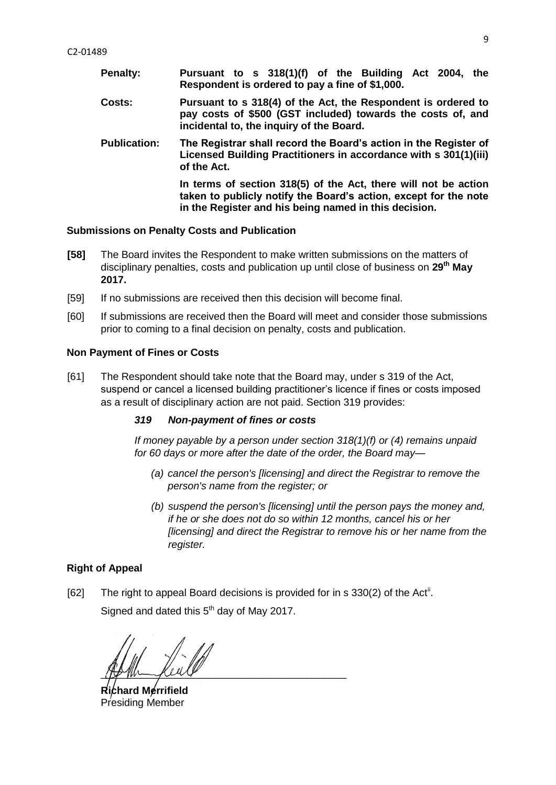**Penalty: Pursuant to s 318(1)(f) of the Building Act 2004, the Respondent is ordered to pay a fine of \$1,000. Costs: Pursuant to s 318(4) of the Act, the Respondent is ordered to pay costs of \$500 (GST included) towards the costs of, and incidental to, the inquiry of the Board. Publication: The Registrar shall record the Board's action in the Register of Licensed Building Practitioners in accordance with s 301(1)(iii) of the Act. In terms of section 318(5) of the Act, there will not be action taken to publicly notify the Board's action, except for the note in the Register and his being named in this decision.**

#### **Submissions on Penalty Costs and Publication**

- **[58]** The Board invites the Respondent to make written submissions on the matters of disciplinary penalties, costs and publication up until close of business on **29 th May 2017.**
- [59] If no submissions are received then this decision will become final.
- [60] If submissions are received then the Board will meet and consider those submissions prior to coming to a final decision on penalty, costs and publication.

#### **Non Payment of Fines or Costs**

[61] The Respondent should take note that the Board may, under s 319 of the Act, suspend or cancel a licensed building practitioner's licence if fines or costs imposed as a result of disciplinary action are not paid. Section 319 provides:

#### *319 Non-payment of fines or costs*

*If money payable by a person under section [318\(1\)\(f\)](http://www.westlaw.co.nz/maf/wlnz/app/document?docguid=Idfae01b4e12411e08eefa443f89988a0&&src=rl&hitguid=I59f403d1e03411e08eefa443f89988a0&snippets=true&startChunk=1&endChunk=1&isTocNav=true&tocDs=AUNZ_NZ_LEGCOMM_TOC#anchor_I59f403d1e03411e08eefa443f89988a0) or [\(4\)](http://www.westlaw.co.nz/maf/wlnz/app/document?docguid=Idfae01b4e12411e08eefa443f89988a0&&src=rl&hitguid=I59f40431e03411e08eefa443f89988a0&snippets=true&startChunk=1&endChunk=1&isTocNav=true&tocDs=AUNZ_NZ_LEGCOMM_TOC#anchor_I59f40431e03411e08eefa443f89988a0) remains unpaid for 60 days or more after the date of the order, the Board may—*

- *(a) cancel the person's [licensing] and direct the Registrar to remove the person's name from the register; or*
- *(b) suspend the person's [licensing] until the person pays the money and, if he or she does not do so within 12 months, cancel his or her [licensing] and direct the Registrar to remove his or her name from the register.*

### **Right of Appeal**

[62] The right to appeal Board decisions is provided for in s 330(2) of the Act<sup>ii</sup>. Signed and dated this  $5<sup>th</sup>$  day of May 2017.

 $\mu$  the manifold  $\nu$ 

**Richard Merrifield**  Presiding Member